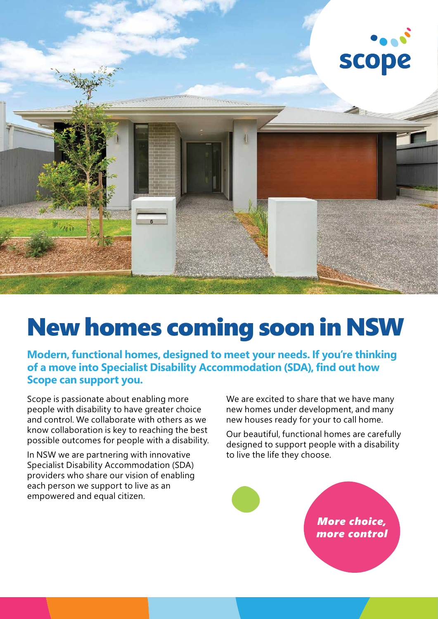

## New homes coming soon in NSW

**Modern, functional homes, designed to meet your needs. If you're thinking of a move into Specialist Disability Accommodation (SDA), find out how Scope can support you.**

Scope is passionate about enabling more people with disability to have greater choice and control. We collaborate with others as we know collaboration is key to reaching the best possible outcomes for people with a disability.

In NSW we are partnering with innovative Specialist Disability Accommodation (SDA) providers who share our vision of enabling each person we support to live as an empowered and equal citizen.

We are excited to share that we have many new homes under development, and many new houses ready for your to call home.

Our beautiful, functional homes are carefully designed to support people with a disability to live the life they choose.

## *More choice, more control*